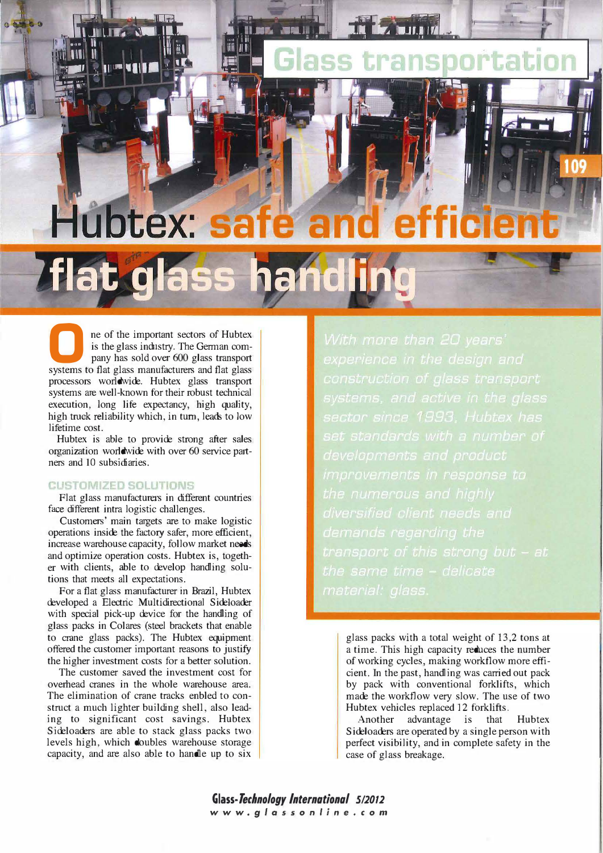# Hubtex: **Tlat glass handling**

**JERS** 

**1 ne of the important sectors of Hubtex** is the glass industry. The German company has sold over 600 glass transport is the glass industry. The German comsystems to flat glass manufacturers and flat glass processors worldwide. Hubtex glass transport systems are well-known for their robust technical execution, Iong life expectancy, high quality, high truck reliability which, in turn, leads to low lifetime cost.

Hubtex is able to provide strong after sales organization worldwide with over 60 service partners and 10 subsidiaries.

#### **CUSTOMIZED SOLUTIONS**

**ITLET** 

**IN THE WEIGHT** 

Flat glass manufacturers in different countries face different intra logistic challenges.

Customers' main targets are to make logistic operations inside the factory safer, more efficient, increase warehouse capacity, follow market needs and optimize operation costs. Hubtex is, together with clients, able to develop handling solutions that meets all expectations.

For a flat glass manufacturer in Brazil, Hubtex developed a Electric Multidirectional Sideloader with special pick-up device for the handling of glass packs in Colares (steel brackets that enable to crane glass packs). The Hubtex equipment offered the customer important reasons to justify the higher investment costs for a better solution.

The customer saved the investment cost for overhead cranes in the whole warehouse area. The elimination of crane tracks enbled to construct a much lighter building shell, also leading to significant cost savings. Hubtex Sideloaders are able to stack glass packs two levels high, which doubles warehouse storage capacity, and are also able to handle up to six

sector since 1993. Hubtex has the same time - delicate

glass packs with a total weight of 13 ,2 tons at a time. This high capacity reduces the number of working cycles, making workflow more efficient. In the past, handling was carried out pack by pack with conventional forklifts, which made the workflow very slow. The use of two Hubtex vehicles replaced 12 forklifts.

Another advantage is that Hubtex Sideloaders are operated by a single person with perfect visibility, and in complete safety in the case of glass breakage.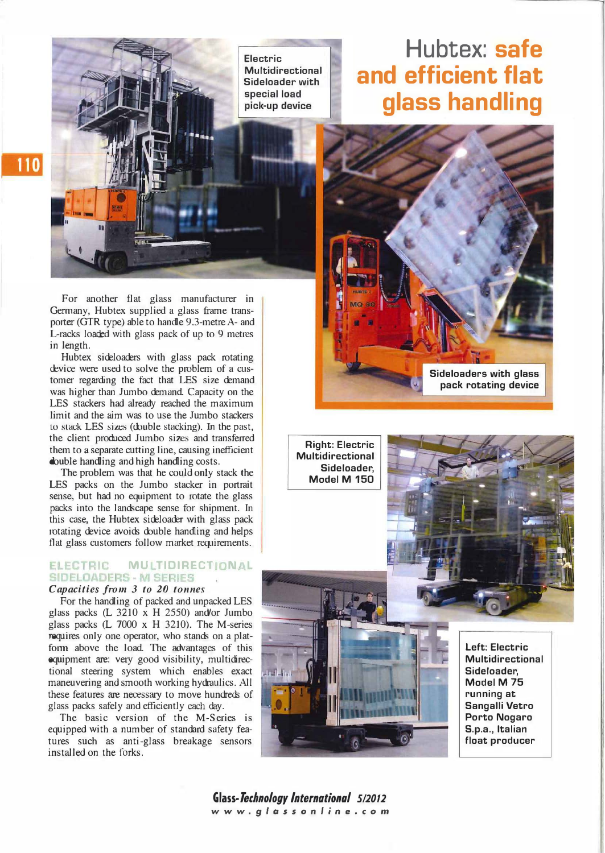Electric Multidirectional Sideloader with<br>special load pick-up device

### 110

For another flat glass manufacturer in Germany, Hubtex supplied a glass frame transporter (GTR type) able to handle 9.3-metre A- and L-racks loaded with glass pack of up to 9 metres in length.

Hubtex sideloaders with glass pack rotating device were used to solve the problem of a customer regarding the fact that LES size demand was higher than Jumbo demand. Capacity on the LES stackers had already reached the maximum limit and the aim was to use the Jumbo stackers to stack LES sizes (double stacking). In the past, the dient produced Jumbo sizes and transferred them to a separate cutting line, causing inefficient double handling and high handling costs.

The problem was that he could only stack the LES packs on the Jumbo stacker in portrait sense, but had no equipment to rotate the glass packs into the landscape sense for shipment. In this case, the Hubtex sideloader with glass pack rotating device avoids double handling and helps flat glass customers follow market requirements.

#### ELECTRIC MULTIDIRECTIONAL **SIDELOADERS - M SERIES**

#### Capacities from 3 to 20 tonnes

For the handling of packed and unpacked LES glass packs (L 3210 x H 2550) and'or Jumbo glass packs (L 7000 x H 3210). The M-series requires only one operator, who stands on a platform above the load. The advantages of this equipment are: very good visibility, multidirectional steering system which enables exact maneuvering and smooth working hydraulics. All these features are necessary to move hundreds of glass packs safely and efficiently each day.

The basic version of the M-Series is equipped with a number of standard safety features such as anti-glass breakage sensors installed on the forks.

## Hubtex: safe and efficient flat glass handling



Right: Electric Multidirectional Sideloader, Model M 150

> Left: Electric Multidirectional Sideloader, Model M 75 running at Sangalli Vetro Porto Nogaro 5.p.a. , ltalian float producer

Glass-Technology International 5/2012 www.glassonline.com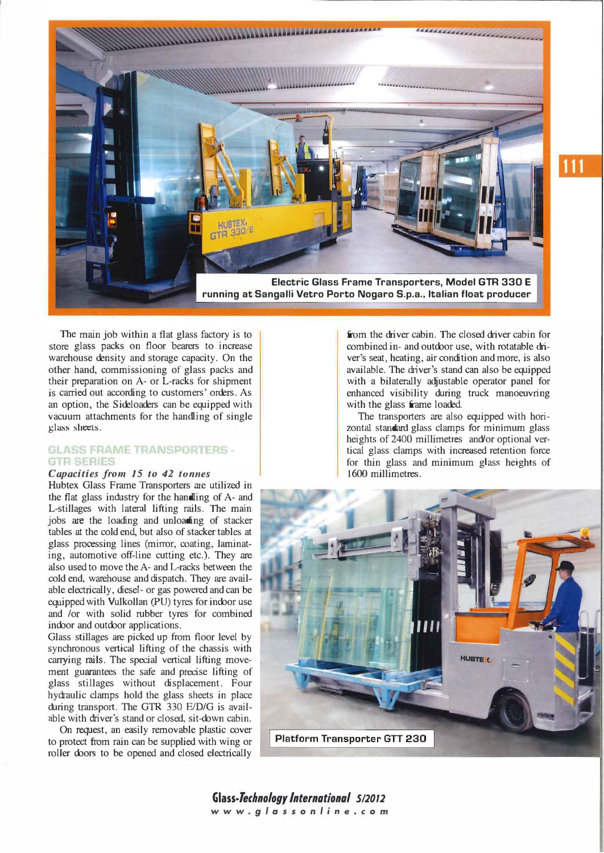

The main job within a flat glass factory is to store glass packs on floor bearers to increase warehouse density and storage capacity. On the other band, commissioning of glass packs and their preparation on A- or L-racks for shipment is carried out according to customers' orders. As an option, the Sideloaders can be equipped with vacuum attachments for the handling of single glass sheets.

#### **GLASS FRAME TRANSPORTERS -GTR SERIES**

#### Capacities from 15 to 42 tonnes

Hubtex Glass Frame Transporters are utilized in the flat glass industry for the handling of A- and L-stillages with lateral lifting rails. The main jobs are the loading and unloading of stacker tables at the cold end, but also of stacker tables at glass processing lines (mirror, coating, laminating, automotive off-line cutting etc.). They are also used to move the A- and L-racks between the cold end, warehouse and dispatch. They are available electrically, diese!- or gas powered and can be equipped with Vulkollan (PU) tyres for indoor use and /or with solid rubber tyres for combined indoor and outdoor applications.

Glass stillages are picked up from floor level by synchronous vertical lifting of the chassis with carrying rails. The special vertical lifting movement guarantees the safe and precise lifting of glass stillages without displacement. Four hydraulic clamps hold the glass sheets in place during transport. The GTR  $330$  E/D/G is available with driver's stand or closed, sit-down cabin.

On request, an easily removable plastic cover to protect from rain can be supplied with wing or roller doors to be opened and closed electrically

from the driver cabin. The closed diver cabin for combined in- and outdoor use, with rotatable driver's seat, heating, air condition and more, is also available. The driver's stand can also be equipped with a bilaterally adjustable operator panel for enhanced visibility during truck manoeuvring with the glass frame loaded.

The transporters are also equipped with horizontal standard glass clamps for minimum glass heights of 2400 millimetres and'or optional vertical glass clamps with increased retention force for thin glass and minimum glass heights of 1600 millimetres.



Glass-Technology International 5/2012 www.glassonline.com